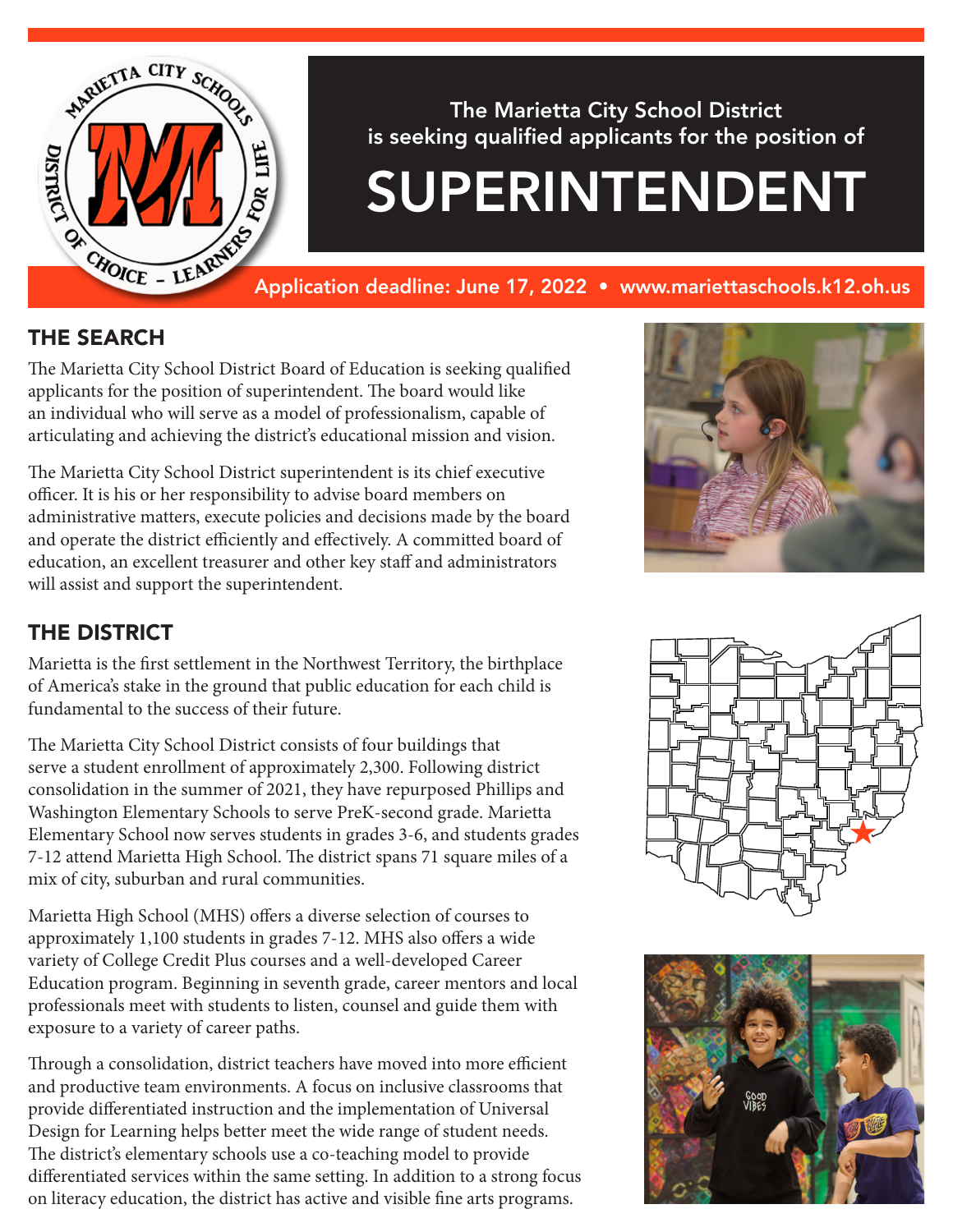

The Marietta City School District is seeking qualified applicants for the position of

# SUPERINTENDENT

Application deadline: June 17, 2022 • www.mariettaschools.k12.oh.us

#### THE SEARCH

The Marietta City School District Board of Education is seeking qualified applicants for the position of superintendent. The board would like an individual who will serve as a model of professionalism, capable of articulating and achieving the district's educational mission and vision.

The Marietta City School District superintendent is its chief executive officer. It is his or her responsibility to advise board members on administrative matters, execute policies and decisions made by the board and operate the district efficiently and effectively. A committed board of education, an excellent treasurer and other key staff and administrators will assist and support the superintendent.



## THE DISTRICT

Marietta is the first settlement in the Northwest Territory, the birthplace of America's stake in the ground that public education for each child is fundamental to the success of their future.

The Marietta City School District consists of four buildings that serve a student enrollment of approximately 2,300. Following district consolidation in the summer of 2021, they have repurposed Phillips and Washington Elementary Schools to serve PreK-second grade. Marietta Elementary School now serves students in grades 3-6, and students grades 7-12 attend Marietta High School. The district spans 71 square miles of a mix of city, suburban and rural communities.

Marietta High School (MHS) offers a diverse selection of courses to approximately 1,100 students in grades 7-12. MHS also offers a wide variety of College Credit Plus courses and a well-developed Career Education program. Beginning in seventh grade, career mentors and local professionals meet with students to listen, counsel and guide them with exposure to a variety of career paths.

Through a consolidation, district teachers have moved into more efficient and productive team environments. A focus on inclusive classrooms that provide differentiated instruction and the implementation of Universal Design for Learning helps better meet the wide range of student needs. The district's elementary schools use a co-teaching model to provide differentiated services within the same setting. In addition to a strong focus on literacy education, the district has active and visible fine arts programs.



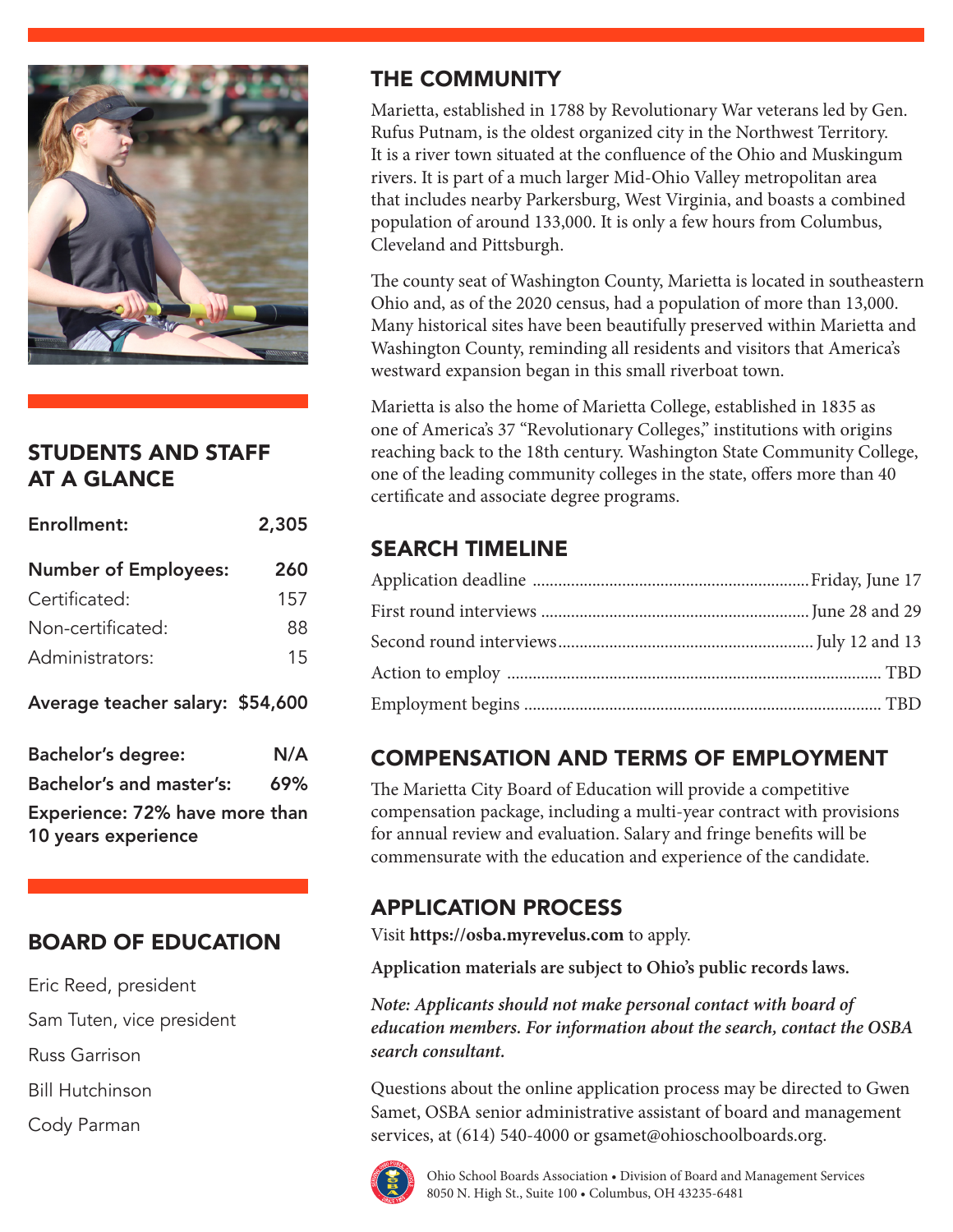

## STUDENTS AND STAFF AT A GLANCE

| <b>Enrollment:</b>                                    | 2,305 |  |  |  |
|-------------------------------------------------------|-------|--|--|--|
| <b>Number of Employees:</b>                           | 260   |  |  |  |
| Certificated:                                         | 157   |  |  |  |
| Non-certificated:                                     | 88    |  |  |  |
| Administrators:                                       | 15    |  |  |  |
| Average teacher salary: \$54,600                      |       |  |  |  |
| <b>Bachelor's degree:</b>                             | N/A   |  |  |  |
| <b>Bachelor's and master's:</b>                       | 69%   |  |  |  |
| Experience: 72% have more than<br>10 years experience |       |  |  |  |

## BOARD OF EDUCATION

Eric Reed, president

Sam Tuten, vice president

Russ Garrison

Bill Hutchinson

Cody Parman

# THE COMMUNITY

Marietta, established in 1788 by Revolutionary War veterans led by Gen. Rufus Putnam, is the oldest organized city in the Northwest Territory. It is a river town situated at the confluence of the Ohio and Muskingum rivers. It is part of a much larger Mid-Ohio Valley metropolitan area that includes nearby Parkersburg, West Virginia, and boasts a combined population of around 133,000. It is only a few hours from Columbus, Cleveland and Pittsburgh.

The county seat of Washington County, Marietta is located in southeastern Ohio and, as of the 2020 census, had a population of more than 13,000. Many historical sites have been beautifully preserved within Marietta and Washington County, reminding all residents and visitors that America's westward expansion began in this small riverboat town.

Marietta is also the home of Marietta College, established in 1835 as one of America's 37 "Revolutionary Colleges," institutions with origins reaching back to the 18th century. Washington State Community College, one of the leading community colleges in the state, offers more than 40 certificate and associate degree programs.

# SEARCH TIMELINE

## COMPENSATION AND TERMS OF EMPLOYMENT

The Marietta City Board of Education will provide a competitive compensation package, including a multi-year contract with provisions for annual review and evaluation. Salary and fringe benefits will be commensurate with the education and experience of the candidate.

## APPLICATION PROCESS

Visit **https://osba.myrevelus.com** to apply.

**Application materials are subject to Ohio's public records laws.**

*Note: Applicants should not make personal contact with board of education members. For information about the search, contact the OSBA search consultant.*

Questions about the online application process may be directed to Gwen Samet, OSBA senior administrative assistant of board and management services, at (614) 540-4000 or gsamet@ohioschoolboards.org.